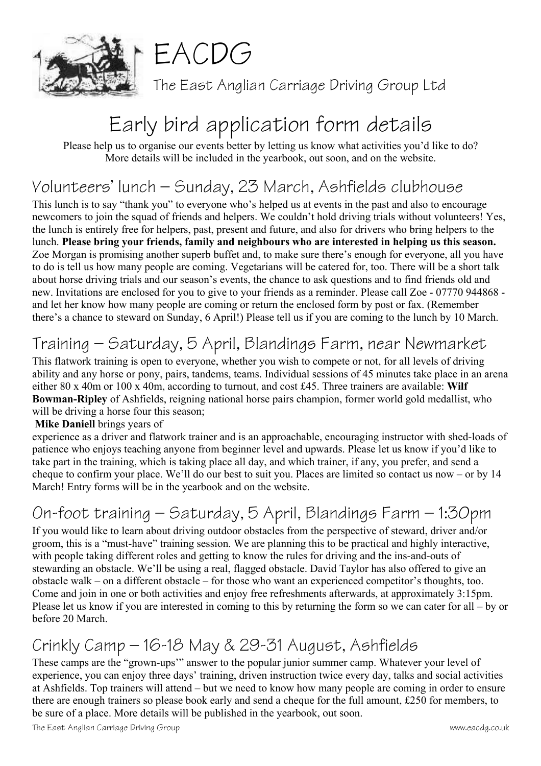



The East Anglian Carriage Driving Group Ltd

# Early bird application form details

Please help us to organise our events better by letting us know what activities you'd like to do? More details will be included in the yearbook, out soon, and on the website.

### Volunteers' lunch – Sunday, 23 March, Ashfields clubhouse

This lunch is to say "thank you" to everyone who's helped us at events in the past and also to encourage newcomers to join the squad of friends and helpers. We couldn't hold driving trials without volunteers! Yes, the lunch is entirely free for helpers, past, present and future, and also for drivers who bring helpers to the lunch. **Please bring your friends, family and neighbours who are interested in helping us this season.** Zoe Morgan is promising another superb buffet and, to make sure there's enough for everyone, all you have to do is tell us how many people are coming. Vegetarians will be catered for, too. There will be a short talk about horse driving trials and our season's events, the chance to ask questions and to find friends old and new. Invitations are enclosed for you to give to your friends as a reminder. Please call Zoe - 07770 944868 and let her know how many people are coming or return the enclosed form by post or fax. (Remember there's a chance to steward on Sunday, 6 April!) Please tell us if you are coming to the lunch by 10 March.

## Training – Saturday, 5 April, Blandings Farm, near Newmarket

This flatwork training is open to everyone, whether you wish to compete or not, for all levels of driving ability and any horse or pony, pairs, tandems, teams. Individual sessions of 45 minutes take place in an arena either 80 x 40m or 100 x 40m, according to turnout, and cost £45. Three trainers are available: **Wilf Bowman-Ripley** of Ashfields, reigning national horse pairs champion, former world gold medallist, who will be driving a horse four this season;

#### **Mike Daniell** brings years of

experience as a driver and flatwork trainer and is an approachable, encouraging instructor with shed-loads of patience who enjoys teaching anyone from beginner level and upwards. Please let us know if you'd like to take part in the training, which is taking place all day, and which trainer, if any, you prefer, and send a cheque to confirm your place. We'll do our best to suit you. Places are limited so contact us now – or by 14 March! Entry forms will be in the yearbook and on the website.

# On-foot training – Saturday, 5 April, Blandings Farm – 1:30pm

If you would like to learn about driving outdoor obstacles from the perspective of steward, driver and/or groom, this is a "must-have" training session. We are planning this to be practical and highly interactive, with people taking different roles and getting to know the rules for driving and the ins-and-outs of stewarding an obstacle. We'll be using a real, flagged obstacle. David Taylor has also offered to give an obstacle walk – on a different obstacle – for those who want an experienced competitor's thoughts, too. Come and join in one or both activities and enjoy free refreshments afterwards, at approximately 3:15pm. Please let us know if you are interested in coming to this by returning the form so we can cater for all – by or before 20 March.

### Crinkly Camp – 16-18 May & 29-31 August, Ashfields

These camps are the "grown-ups'" answer to the popular junior summer camp. Whatever your level of experience, you can enjoy three days' training, driven instruction twice every day, talks and social activities at Ashfields. Top trainers will attend – but we need to know how many people are coming in order to ensure there are enough trainers so please book early and send a cheque for the full amount, £250 for members, to be sure of a place. More details will be published in the yearbook, out soon.